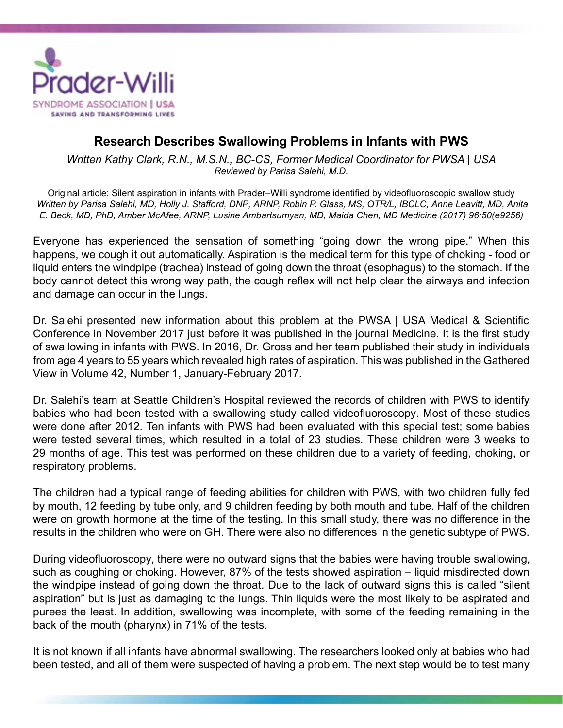

## **Research Describes Swallowing Problems in Infants with PWS**

*Written Kathy Clark, R.N., M.S.N., BC-CS, Former Medical Coordinator for PWSA | USA Reviewed by Parisa Salehi, M.D.*

Original article: Silent aspiration in infants with Prader–Willi syndrome identified by videofluoroscopic swallow study *Written by Parisa Salehi, MD, Holly J. Stafford, DNP, ARNP, Robin P. Glass, MS, OTR/L, IBCLC, Anne Leavitt, MD, Anita E. Beck, MD, PhD, Amber McAfee, ARNP, Lusine Ambartsumyan, MD, Maida Chen, MD Medicine (2017) 96:50(e9256)*

Everyone has experienced the sensation of something "going down the wrong pipe." When this happens, we cough it out automatically. Aspiration is the medical term for this type of choking - food or liquid enters the windpipe (trachea) instead of going down the throat (esophagus) to the stomach. If the body cannot detect this wrong way path, the cough reflex will not help clear the airways and infection and damage can occur in the lungs.

Dr. Salehi presented new information about this problem at the PWSA | USA Medical & Scientific Conference in November 2017 just before it was published in the journal Medicine. It is the first study of swallowing in infants with PWS. In 2016, Dr. Gross and her team published their study in individuals from age 4 years to 55 years which revealed high rates of aspiration. This was published in the Gathered View in Volume 42, Number 1, January-February 2017.

Dr. Salehi's team at Seattle Children's Hospital reviewed the records of children with PWS to identify babies who had been tested with a swallowing study called videofluoroscopy. Most of these studies were done after 2012. Ten infants with PWS had been evaluated with this special test; some babies were tested several times, which resulted in a total of 23 studies. These children were 3 weeks to 29 months of age. This test was performed on these children due to a variety of feeding, choking, or respiratory problems.

The children had a typical range of feeding abilities for children with PWS, with two children fully fed by mouth, 12 feeding by tube only, and 9 children feeding by both mouth and tube. Half of the children were on growth hormone at the time of the testing. In this small study, there was no difference in the results in the children who were on GH. There were also no differences in the genetic subtype of PWS.

During videofluoroscopy, there were no outward signs that the babies were having trouble swallowing, such as coughing or choking. However, 87% of the tests showed aspiration – liquid misdirected down the windpipe instead of going down the throat. Due to the lack of outward signs this is called "silent aspiration" but is just as damaging to the lungs. Thin liquids were the most likely to be aspirated and purees the least. In addition, swallowing was incomplete, with some of the feeding remaining in the back of the mouth (pharynx) in 71% of the tests.

It is not known if all infants have abnormal swallowing. The researchers looked only at babies who had been tested, and all of them were suspected of having a problem. The next step would be to test many